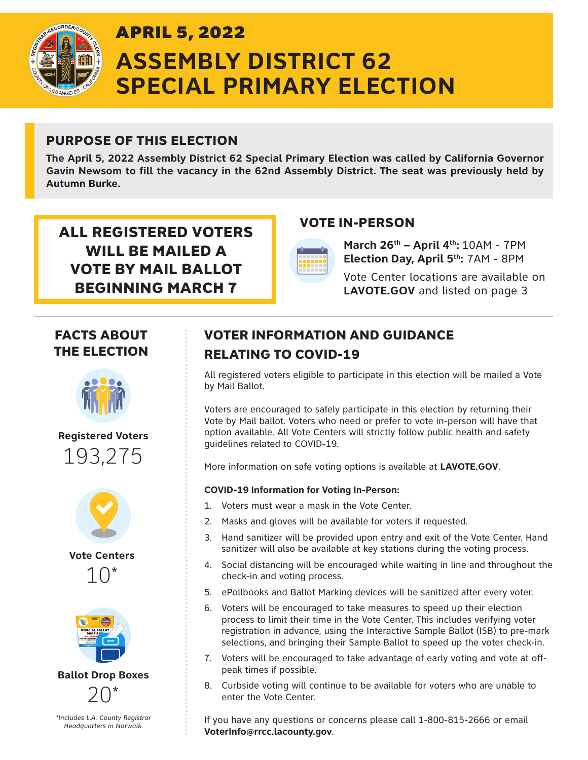

# APRIL 5, 2022 **ASSEMBLY DISTRICT 62 SPECIAL PRIMARY ELECTION**

## PURPOSE OF THIS ELECTION

**The April 5, 2022 Assembly District 62 Special Primary Election was called by California Governor Gavin Newsom to fill the vacancy in the 62nd Assembly District. The seat was previously held by Autumn Burke.**

ALL REGISTERED VOTERS VOTE IN-PERSON WILL BE MAILED A VOTE BY MAIL BALLOT BEGINNING MARCH 7



**March 26th – April 4th:** 10AM - 7PM **Election Day, April 5th:** 7AM - 8PM

Vote Center locations are available on **LAVOTE.GOV** and listed on page 3

### FACTS ABOUT THE ELECTION



**Registered Voters** 193,275



**Vote Centers** 10\*



**Ballot Drop Boxes**



*\*Includes L.A. County Registrar Headquarters in Norwalk.*

# VOTER INFORMATION AND GUIDANCE RELATING TO COVID-19

All registered voters eligible to participate in this election will be mailed a Vote by Mail Ballot.

Voters are encouraged to safely participate in this election by returning their Vote by Mail ballot. Voters who need or prefer to vote in-person will have that option available. All Vote Centers will strictly follow public health and safety guidelines related to COVID-19.

More information on safe voting options is available at **LAVOTE.GOV**.

#### **COVID-19 Information for Voting In-Person:**

- 1. Voters must wear a mask in the Vote Center.
- 2. Masks and gloves will be available for voters if requested.
- 3. Hand sanitizer will be provided upon entry and exit of the Vote Center. Hand sanitizer will also be available at key stations during the voting process.
- 4. Social distancing will be encouraged while waiting in line and throughout the check-in and voting process.
- 5. ePollbooks and Ballot Marking devices will be sanitized after every voter.
- 6. Voters will be encouraged to take measures to speed up their election process to limit their time in the Vote Center. This includes verifying voter registration in advance, using the Interactive Sample Ballot (ISB) to pre-mark selections, and bringing their Sample Ballot to speed up the voter check-in.
- 7. Voters will be encouraged to take advantage of early voting and vote at offpeak times if possible.
- 8. Curbside voting will continue to be available for voters who are unable to enter the Vote Center.

If you have any questions or concerns please call 1-800-815-2666 or email **VoterInfo@rrcc.lacounty.gov**.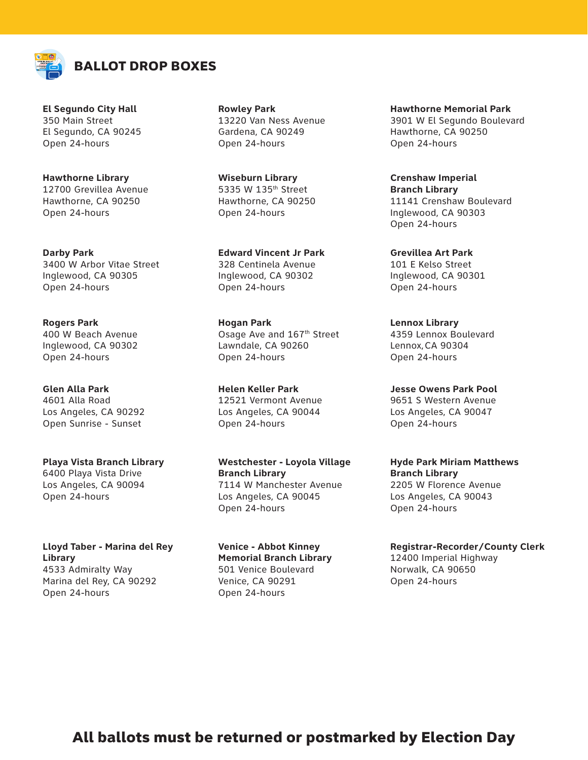

**El Segundo City Hall** 350 Main Street El Segundo, CA 90245 Open 24-hours

**Hawthorne Library** 12700 Grevillea Avenue Hawthorne, CA 90250 Open 24-hours

**Darby Park** 3400 W Arbor Vitae Street Inglewood, CA 90305 Open 24-hours

**Rogers Park** 400 W Beach Avenue Inglewood, CA 90302 Open 24-hours

**Glen Alla Park** 4601 Alla Road Los Angeles, CA 90292 Open Sunrise - Sunset

**Playa Vista Branch Library** 6400 Playa Vista Drive Los Angeles, CA 90094 Open 24-hours

**Lloyd Taber - Marina del Rey Library** 4533 Admiralty Way Marina del Rey, CA 90292 Open 24-hours

**Rowley Park** 13220 Van Ness Avenue Gardena, CA 90249 Open 24-hours

**Wiseburn Library** 5335 W 135th Street Hawthorne, CA 90250 Open 24-hours

**Edward Vincent Jr Park**  328 Centinela Avenue Inglewood, CA 90302 Open 24-hours

**Hogan Park** Osage Ave and 167th Street Lawndale, CA 90260 Open 24-hours

**Helen Keller Park**  12521 Vermont Avenue Los Angeles, CA 90044 Open 24-hours

**Westchester - Loyola Village Branch Library** 7114 W Manchester Avenue Los Angeles, CA 90045 Open 24-hours

**Venice - Abbot Kinney Memorial Branch Library** 501 Venice Boulevard Venice, CA 90291 Open 24-hours

**Hawthorne Memorial Park** 3901 W El Segundo Boulevard Hawthorne, CA 90250 Open 24-hours

**Crenshaw Imperial Branch Library** 11141 Crenshaw Boulevard Inglewood, CA 90303 Open 24-hours

**Grevillea Art Park** 101 E Kelso Street Inglewood, CA 90301 Open 24-hours

**Lennox Library** 4359 Lennox Boulevard Lennox,CA 90304 Open 24-hours

**Jesse Owens Park Pool** 9651 S Western Avenue Los Angeles, CA 90047 Open 24-hours

**Hyde Park Miriam Matthews Branch Library** 2205 W Florence Avenue Los Angeles, CA 90043 Open 24-hours

**Registrar-Recorder/County Clerk** 12400 Imperial Highway Norwalk, CA 90650 Open 24-hours